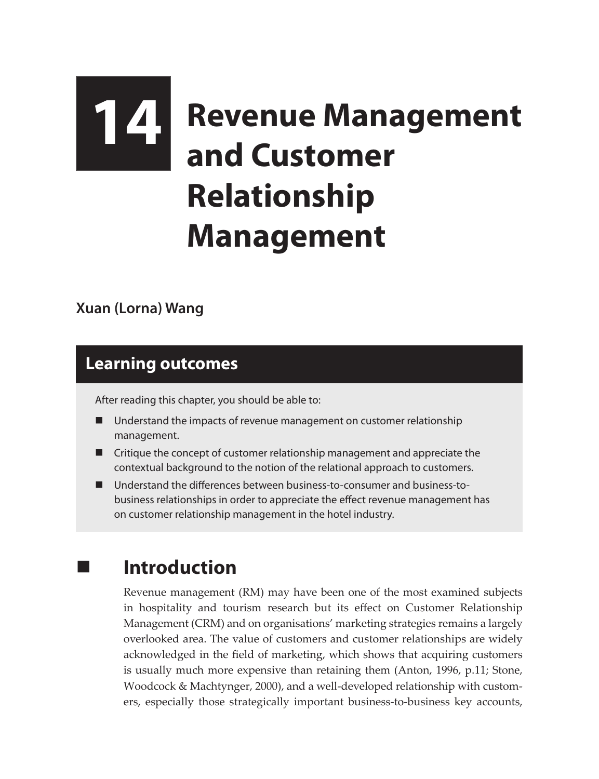## **14 Revenue Management and Customer Relationship Management**

**Xuan (Lorna) Wang**

## **Learning outcomes**

After reading this chapter, you should be able to:

- Understand the impacts of revenue management on customer relationship management.
- Critique the concept of customer relationship management and appreciate the contextual background to the notion of the relational approach to customers.
- Understand the differences between business-to-consumer and business-tobusiness relationships in order to appreciate the effect revenue management has on customer relationship management in the hotel industry.

## **Introduction**

Revenue management (RM) may have been one of the most examined subjects in hospitality and tourism research but its effect on Customer Relationship Management (CRM) and on organisations' marketing strategies remains a largely overlooked area. The value of customers and customer relationships are widely acknowledged in the field of marketing, which shows that acquiring customers is usually much more expensive than retaining them (Anton, 1996, p.11; Stone, Woodcock & Machtynger, 2000), and a well-developed relationship with customers, especially those strategically important business-to-business key accounts,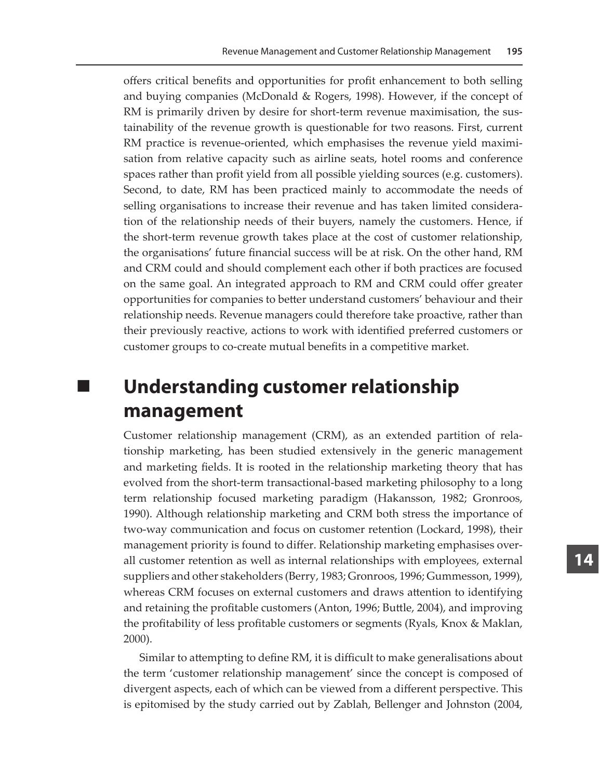offers critical benefits and opportunities for profit enhancement to both selling and buying companies (McDonald & Rogers, 1998). However, if the concept of RM is primarily driven by desire for short-term revenue maximisation, the sustainability of the revenue growth is questionable for two reasons. First, current RM practice is revenue-oriented, which emphasises the revenue yield maximisation from relative capacity such as airline seats, hotel rooms and conference spaces rather than profit yield from all possible yielding sources (e.g. customers). Second, to date, RM has been practiced mainly to accommodate the needs of selling organisations to increase their revenue and has taken limited consideration of the relationship needs of their buyers, namely the customers. Hence, if the short-term revenue growth takes place at the cost of customer relationship, the organisations' future financial success will be at risk. On the other hand, RM and CRM could and should complement each other if both practices are focused on the same goal. An integrated approach to RM and CRM could offer greater opportunities for companies to better understand customers' behaviour and their relationship needs. Revenue managers could therefore take proactive, rather than their previously reactive, actions to work with identified preferred customers or customer groups to co-create mutual benefits in a competitive market.

## **Understanding customer relationship management**

Customer relationship management (CRM), as an extended partition of relationship marketing, has been studied extensively in the generic management and marketing fields. It is rooted in the relationship marketing theory that has evolved from the short-term transactional-based marketing philosophy to a long term relationship focused marketing paradigm (Hakansson, 1982; Gronroos, 1990). Although relationship marketing and CRM both stress the importance of two-way communication and focus on customer retention (Lockard, 1998), their management priority is found to differ. Relationship marketing emphasises overall customer retention as well as internal relationships with employees, external suppliers and other stakeholders (Berry, 1983; Gronroos, 1996; Gummesson, 1999), whereas CRM focuses on external customers and draws attention to identifying and retaining the profitable customers (Anton, 1996; Buttle, 2004), and improving the profitability of less profitable customers or segments (Ryals, Knox & Maklan, 2000).

Similar to attempting to define RM, it is difficult to make generalisations about the term 'customer relationship management' since the concept is composed of divergent aspects, each of which can be viewed from a different perspective. This is epitomised by the study carried out by Zablah, Bellenger and Johnston (2004,